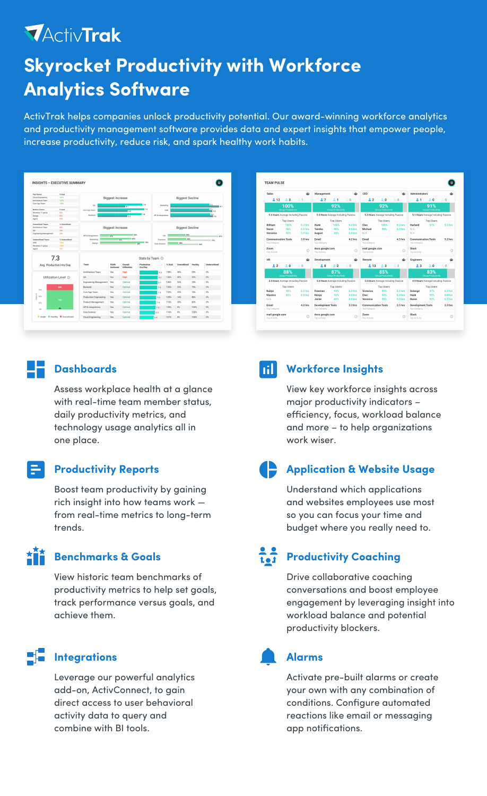## **MActivTrak Skyrocket Productivity with Workforce Analytics Software**

ActivTrak helps companies unlock productivity potential. Our award-winning workforce analytics and productivity management software provides data and expert insights that empower people, increase productivity, reduce risk, and spark healthy work habits.





Assess workplace health at a glance with real-time team member status, daily productivity metrics, and technology usage analytics all in one place.

#### **Productivity Reports**

Boost team productivity by gaining rich insight into how teams work from real-time metrics to long-term trends.

#### **AÑĂ Benchmarks & Goals**

View historic team benchmarks of productivity metrics to help set goals, track performance versus goals, and achieve them.

### **Integrations**

Leverage our powerful analytics add-on, ActivConnect, to gain direct access to user behavioral activity data to query and combine with BI tools.

#### **Dashboards Workforce Insights**

View key workforce insights across major productivity indicators – efficiency, focus, workload balance and more – to help organizations work wiser.

#### **Application & Website Usage**

Understand which applications and websites employees use most so you can focus your time and budget where you really need to.

### $\frac{2}{1}$

#### **Productivity Coaching**

Drive collaborative coaching conversations and boost employee engagement by leveraging insight into workload balance and potential productivity blockers.

### **Alarms**

Activate pre-built alarms or create your own with any combination of conditions. Configure automated reactions like email or messaging app notifications.